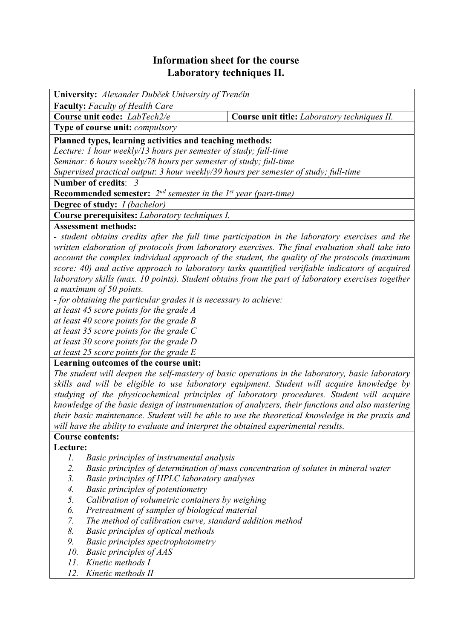## **Information sheet for the course Laboratory techniques II.**

| <b>University:</b> Alexander Dubček University of Trenčín                            |                                              |  |  |  |
|--------------------------------------------------------------------------------------|----------------------------------------------|--|--|--|
| <b>Faculty:</b> Faculty of Health Care                                               |                                              |  |  |  |
| Course unit code: LabTech2/e                                                         | Course unit title: Laboratory techniques II. |  |  |  |
| <b>Type of course unit: <i>compulsory</i></b>                                        |                                              |  |  |  |
| Planned types, learning activities and teaching methods:                             |                                              |  |  |  |
| Lecture: 1 hour weekly/13 hours per semester of study; full-time                     |                                              |  |  |  |
| Seminar: 6 hours weekly/78 hours per semester of study; full-time                    |                                              |  |  |  |
| Supervised practical output: 3 hour weekly/39 hours per semester of study; full-time |                                              |  |  |  |
| Number of credits: 3                                                                 |                                              |  |  |  |
| <b>Recommended semester:</b> $2^{nd}$ semester in the 1st year (part-time)           |                                              |  |  |  |
| <b>Degree of study:</b> <i>I (bachelor)</i>                                          |                                              |  |  |  |
| Course prerequisites: Laboratory techniques I.                                       |                                              |  |  |  |
| Assessment methods.                                                                  |                                              |  |  |  |

## **Assessment methods:**

*- student obtains credits after the full time participation in the laboratory exercises and the written elaboration of protocols from laboratory exercises. The final evaluation shall take into account the complex individual approach of the student, the quality of the protocols (maximum score: 40) and active approach to laboratory tasks quantified verifiable indicators of acquired laboratory skills (max. 10 points). Student obtains from the part of laboratory exercises together a maximum of 50 points.* 

*- for obtaining the particular grades it is necessary to achieve:* 

*at least 45 score points for the grade A* 

*at least 40 score points for the grade B* 

*at least 35 score points for the grade C* 

*at least 30 score points for the grade D* 

*at least 25 score points for the grade E*

## **Learning outcomes of the course unit:**

*The student will deepen the self-mastery of basic operations in the laboratory, basic laboratory skills and will be eligible to use laboratory equipment. Student will acquire knowledge by studying of the physicochemical principles of laboratory procedures. Student will acquire knowledge of the basic design of instrumentation of analyzers, their functions and also mastering their basic maintenance. Student will be able to use the theoretical knowledge in the praxis and will have the ability to evaluate and interpret the obtained experimental results.* 

# **Course contents:**

**Lecture:** 

- *1. Basic principles of instrumental analysis*
- *2. Basic principles of determination of mass concentration of solutes in mineral water*
- *3. Basic principles of HPLC laboratory analyses*
- *4. Basic principles of potentiometry*
- *5. Calibration of volumetric containers by weighing*
- *6. Pretreatment of samples of biological material*
- *7. The method of calibration curve, standard addition method*
- *8. Basic principles of optical methods*
- *9. Basic principles spectrophotometry*
- *10. Basic principles of AAS*
- *11. Kinetic methods I*
- *12. Kinetic methods II*